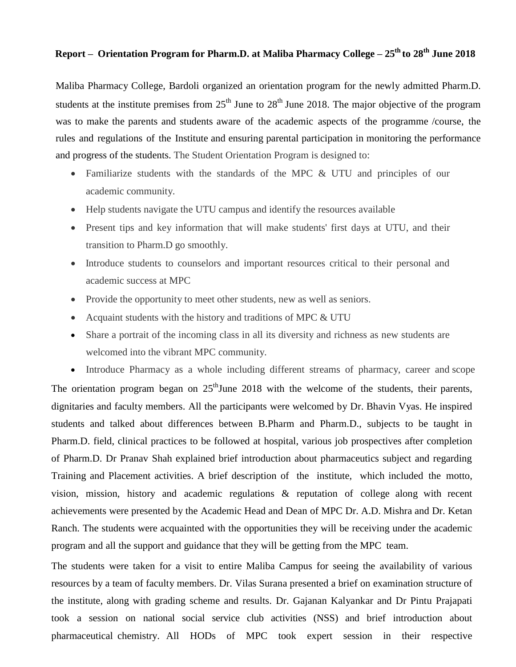## **Report – Orientation Program for Pharm.D. at Maliba Pharmacy College – 25th to 28th June 2018**

Maliba Pharmacy College, Bardoli organized an orientation program for the newly admitted Pharm.D. students at the institute premises from  $25<sup>th</sup>$  June to  $28<sup>th</sup>$  June 2018. The major objective of the program was to make the parents and students aware of the academic aspects of the programme /course, the rules and regulations of the Institute and ensuring parental participation in monitoring the performance and progress of the students. The Student Orientation Program is designed to:

- Familiarize students with the standards of the MPC & UTU and principles of our academic community.
- Help students navigate the UTU campus and identify the resources available
- Present tips and key information that will make students' first days at UTU, and their transition to Pharm.D go smoothly.
- Introduce students to counselors and important resources critical to their personal and academic success at MPC
- Provide the opportunity to meet other students, new as well as seniors.
- Acquaint students with the history and traditions of MPC & UTU
- Share a portrait of the incoming class in all its diversity and richness as new students are welcomed into the vibrant MPC community.

• Introduce Pharmacy as a whole including different streams of pharmacy, career and scope The orientation program began on  $25<sup>th</sup>$  June 2018 with the welcome of the students, their parents, dignitaries and faculty members. All the participants were welcomed by Dr. Bhavin Vyas. He inspired students and talked about differences between B.Pharm and Pharm.D., subjects to be taught in Pharm.D. field, clinical practices to be followed at hospital, various job prospectives after completion of Pharm.D. Dr Pranav Shah explained brief introduction about pharmaceutics subject and regarding Training and Placement activities. A brief description of the institute, which included the motto, vision, mission, history and academic regulations & reputation of college along with recent achievements were presented by the Academic Head and Dean of MPC Dr. A.D. Mishra and Dr. Ketan Ranch. The students were acquainted with the opportunities they will be receiving under the academic program and all the support and guidance that they will be getting from the MPC team.

The students were taken for a visit to entire Maliba Campus for seeing the availability of various resources by a team of faculty members. Dr. Vilas Surana presented a brief on examination structure of the institute, along with grading scheme and results. Dr. Gajanan Kalyankar and Dr Pintu Prajapati took a session on national social service club activities (NSS) and brief introduction about pharmaceutical chemistry. All HODs of MPC took expert session in their respective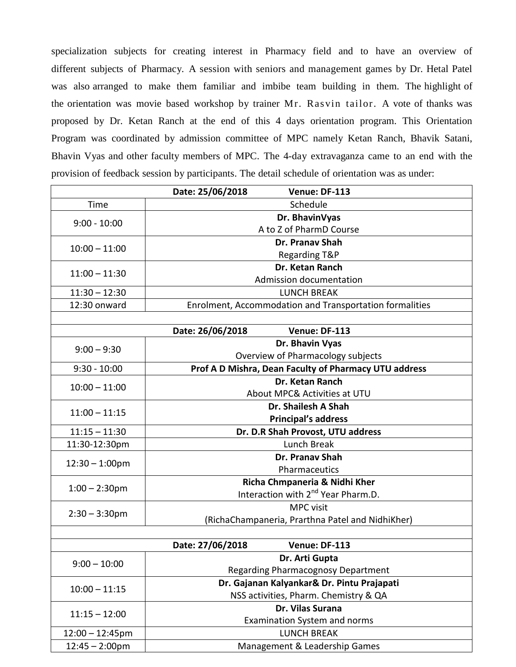specialization subjects for creating interest in Pharmacy field and to have an overview of different subjects of Pharmacy. A session with seniors and management games by Dr. Hetal Patel was also arranged to make them familiar and imbibe team building in them. The highlight of the orientation was movie based workshop by trainer Mr. Rasvin tailor. A vote of thanks was proposed by Dr. Ketan Ranch at the end of this 4 days orientation program. This Orientation Program was coordinated by admission committee of MPC namely Ketan Ranch, Bhavik Satani, Bhavin Vyas and other faculty members of MPC. The 4-day extravaganza came to an end with the provision of feedback session by participants. The detail schedule of orientation was as under:

|                          | Date: 25/06/2018<br>Venue: DF-113                       |
|--------------------------|---------------------------------------------------------|
| Time                     | Schedule                                                |
| $9:00 - 10:00$           | Dr. BhavinVyas                                          |
|                          | A to Z of PharmD Course                                 |
| $10:00 - 11:00$          | <b>Dr. Pranav Shah</b>                                  |
|                          | <b>Regarding T&amp;P</b>                                |
| $11:00 - 11:30$          | Dr. Ketan Ranch                                         |
|                          | Admission documentation                                 |
| $11:30 - 12:30$          | <b>LUNCH BREAK</b>                                      |
| 12:30 onward             | Enrolment, Accommodation and Transportation formalities |
|                          |                                                         |
|                          | Date: 26/06/2018<br>Venue: DF-113                       |
| $9:00 - 9:30$            | Dr. Bhavin Vyas                                         |
|                          | Overview of Pharmacology subjects                       |
| $9:30 - 10:00$           | Prof A D Mishra, Dean Faculty of Pharmacy UTU address   |
| $10:00 - 11:00$          | Dr. Ketan Ranch                                         |
|                          | About MPC& Activities at UTU                            |
| $11:00 - 11:15$          | Dr. Shailesh A Shah                                     |
|                          | <b>Principal's address</b>                              |
| $11:15 - 11:30$          | Dr. D.R Shah Provost, UTU address                       |
| 11:30-12:30pm            | Lunch Break                                             |
| $12:30 - 1:00$ pm        | Dr. Pranav Shah                                         |
|                          | Pharmaceutics                                           |
| $1:00 - 2:30$ pm         | Richa Chmpaneria & Nidhi Kher                           |
|                          | Interaction with 2 <sup>nd</sup> Year Pharm.D.          |
| $2:30 - 3:30$ pm         | <b>MPC</b> visit                                        |
|                          | (RichaChampaneria, Prarthna Patel and NidhiKher)        |
|                          |                                                         |
|                          | Date: 27/06/2018<br>Venue: DF-113                       |
| $9:00 - 10:00$           | Dr. Arti Gupta                                          |
|                          | <b>Regarding Pharmacognosy Department</b>               |
| $10:00 - 11:15$          | Dr. Gajanan Kalyankar& Dr. Pintu Prajapati              |
|                          | NSS activities, Pharm. Chemistry & QA                   |
| $11:15 - 12:00$          | Dr. Vilas Surana                                        |
|                          | Examination System and norms                            |
| $12:00 - 12:45$ pm       | <b>LUNCH BREAK</b>                                      |
| $12:45 - 2:00 \text{pm}$ | Management & Leadership Games                           |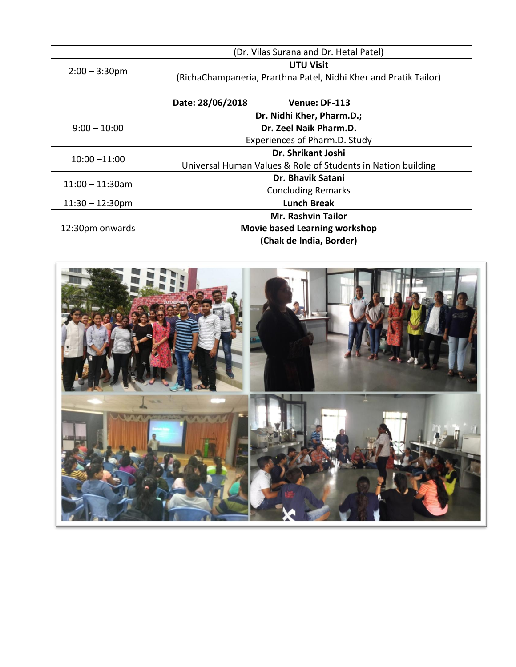|                           | (Dr. Vilas Surana and Dr. Hetal Patel)                           |
|---------------------------|------------------------------------------------------------------|
| $2:00 - 3:30$ pm          | <b>UTU Visit</b>                                                 |
|                           | (RichaChampaneria, Prarthna Patel, Nidhi Kher and Pratik Tailor) |
|                           |                                                                  |
|                           | Date: 28/06/2018<br>Venue: DF-113                                |
| $9:00 - 10:00$            | Dr. Nidhi Kher, Pharm.D.;                                        |
|                           | Dr. Zeel Naik Pharm.D.                                           |
|                           | Experiences of Pharm.D. Study                                    |
| $10:00 - 11:00$           | Dr. Shrikant Joshi                                               |
|                           | Universal Human Values & Role of Students in Nation building     |
| $11:00 - 11:30$ am        | Dr. Bhavik Satani                                                |
|                           | <b>Concluding Remarks</b>                                        |
| $11:30 - 12:30 \text{pm}$ | <b>Lunch Break</b>                                               |
| 12:30pm onwards           | <b>Mr. Rashvin Tailor</b>                                        |
|                           | <b>Movie based Learning workshop</b>                             |
|                           | (Chak de India, Border)                                          |